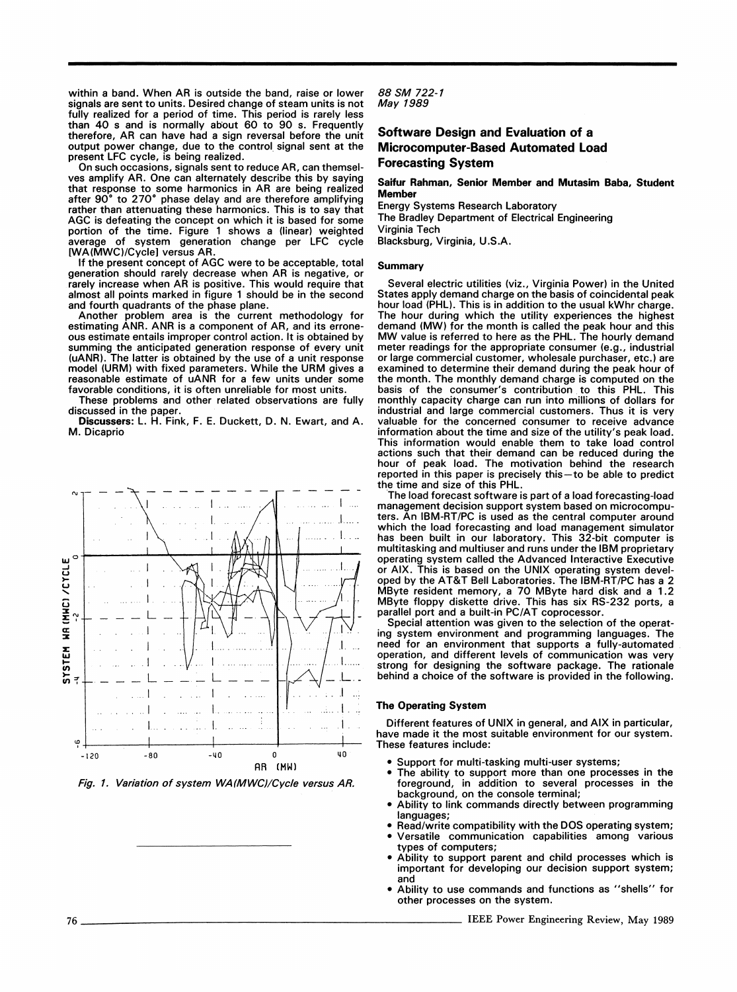within a band. When AR is outside the band, raise or lower signals are sent to units. Desired change of steam units is not fully realized for a period of time. This period is rarely less than 40 s and is normally about 60 to 90 s. Frequently therefore, AR can have had <sup>a</sup> sign reversal before the unit output power change, due to the control signal sent at the present LFC cycle, is being realized.

On such occasions, signals sent to reduce AR, can themselves amplify AR. One can alternately describe this by saying that response to some harmonics in AR are being realized after 90° to 270° phase delay and are therefore amplifying rather than attenuating these harmonics. This is to say that AGC is defeating the concept on which it is based for some portion of the time. Figure <sup>1</sup> shows a (linear) weighted average of system generation change per LFC cycle [WA(MWC)/Cyclel versus AR.

If the present concept of AGC were to be acceptable, total generation should rarely decrease when AR is negative, or rarely increase when AR is positive. This would require that almost all points marked in figure <sup>1</sup> should be in the second and fourth quadrants of the phase plane.

Another problem area is the current methodology for estimating ANR. ANR is a component of AR, and its erroneous estimate entails improper control action. It is obtained by summing the anticipated generation response of every unit (uANR). The latter is obtained by the use of a unit response model (URM) with fixed parameters. While the URM gives <sup>a</sup> reasonable estimate of uANR for <sup>a</sup> few units under some favorable conditions, it is often unreliable for most units.

These problems and other related observations are fully discussed in the paper.

Discussers: L. H. Fink, F. E. Duckett, D. N. Ewart, and A. M. Dicaprio



Fig. 1. Variation of system WA(MWC)/Cycle versus AR.

88 SM 722-1 May 1989

# Software Design and Evaluation of a Microcomputer-Based Automated Load Forecasting System

## Saifur Rahman, Senior Member and Mutasim Baba, Student Member

Energy Systems Research Laboratory The Bradley Department of Electrical Engineering Virginia Tech Blacksburg, Virginia, U.S.A.

### Summary

Several electric utilities (viz., Virginia Power) in the United States apply demand charge on the basis of coincidental peak hour load (PHL). This is in addition to the usual kWhr charge. The hour during which the utility experiences the highest demand (MW) for the month is called the peak hour and this MW value is referred to here as the PHL. The hourly demand meter readings for the appropriate consumer (e.g., industrial or large commercial customer, wholesale purchaser, etc.) are examined to determine their demand during the peak hour of the month. The monthly demand charge is computed on the basis of the consumer's contribution to this PHL. This monthly capacity charge can run into millions of dollars for industrial and large commercial customers. Thus it is very valuable for the concerned consumer to receive advance information about the time and size of the utility's peak load. This information would enable them to take load control actions such that their demand can be reduced during the hour of peak load. The motivation behind the research reported in this paper is precisely this—to be able to predict the time and size of this PHL.

The load forecast software is part of a load forecasting-load management decision support system based on microcomputers. An IBM-RT/PC is used as the central computer around which the load forecasting and load management simulator has been built in our laboratory. This 32-bit computer is multitasking and multiuser and runs under the IBM proprietary operating system called the Advanced Interactive Executive or AIX. This is based on the UNIX operating system devel-oped by the AT&T Bell Laboratories. The IBM-RT/PC has <sup>a</sup> 2 MByte resident memory, a 70 MByte hard disk and a 1.2 MByte floppy diskette drive. This has six RS-232 ports, a parallel port and a built-in PC/AT coprocessor.

Special attention was given to the selection of the operating system environment and programming languages. The need for an environment that supports a fully-automated operation, and different levels of communication was very strong for designing the software package. The rationale behind a choice of the software is provided in the following.

## The Operating System

Different features of UNIX in general, and AIX in particular, have made it the most suitable environment for our system. These features include:

- Support for multi-tasking multi-user systems;
- The ability to support more than one processes in the foreground, in addition to several processes in the background, on the console terminal;
- Ability to link commands directly between programming languages;
- Read/write compatibility with the DOS operating system; Versatile communication capabilities among various
- types of computers; Ability to support parent and child processes which is important for developing our decision support system; and
- Ability to use commands and functions as "shells" for other processes on the system.